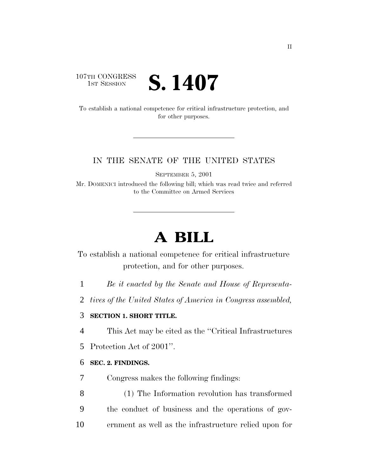# 107TH CONGRESS<br>1st Session S. 1407

To establish a national competence for critical infrastructure protection, and for other purposes.

### IN THE SENATE OF THE UNITED STATES

SEPTEMBER 5, 2001

Mr. DOMENICI introduced the following bill; which was read twice and referred to the Committee on Armed Services

# **A BILL**

To establish a national competence for critical infrastructure protection, and for other purposes.

- 1 *Be it enacted by the Senate and House of Representa-*
- 2 *tives of the United States of America in Congress assembled,*

# 3 **SECTION 1. SHORT TITLE.**

4 This Act may be cited as the ''Critical Infrastructures

5 Protection Act of 2001''.

#### 6 **SEC. 2. FINDINGS.**

- 7 Congress makes the following findings:
- 8 (1) The Information revolution has transformed 9 the conduct of business and the operations of gov-10 ernment as well as the infrastructure relied upon for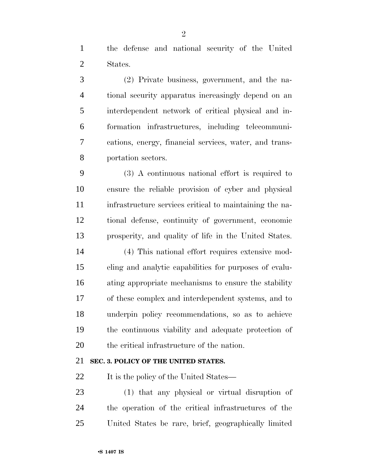the defense and national security of the United States.

 (2) Private business, government, and the na- tional security apparatus increasingly depend on an interdependent network of critical physical and in- formation infrastructures, including telecommuni- cations, energy, financial services, water, and trans-portation sectors.

 (3) A continuous national effort is required to ensure the reliable provision of cyber and physical infrastructure services critical to maintaining the na- tional defense, continuity of government, economic prosperity, and quality of life in the United States.

 (4) This national effort requires extensive mod- eling and analytic capabilities for purposes of evalu- ating appropriate mechanisms to ensure the stability of these complex and interdependent systems, and to underpin policy recommendations, so as to achieve the continuous viability and adequate protection of the critical infrastructure of the nation.

# **SEC. 3. POLICY OF THE UNITED STATES.**

22 It is the policy of the United States—

 (1) that any physical or virtual disruption of the operation of the critical infrastructures of the United States be rare, brief, geographically limited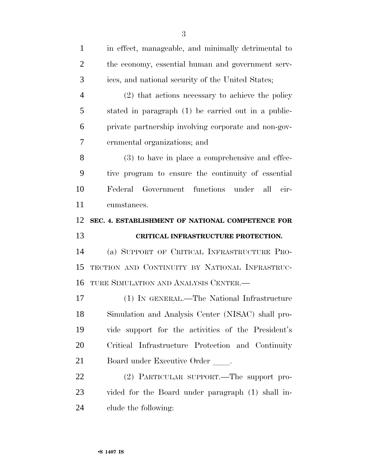| $\mathbf{1}$   | in effect, manageable, and minimally detrimental to  |
|----------------|------------------------------------------------------|
| $\overline{2}$ | the economy, essential human and government serv-    |
| 3              | ices, and national security of the United States;    |
| $\overline{4}$ | (2) that actions necessary to achieve the policy     |
| 5              | stated in paragraph (1) be carried out in a public-  |
| 6              | private partnership involving corporate and non-gov- |
| 7              | ernmental organizations; and                         |
| 8              | (3) to have in place a comprehensive and effec-      |
| 9              | tive program to ensure the continuity of essential   |
| 10             | Federal Government functions under<br>all<br>cir-    |
| 11             | cumstances.                                          |
| 12             | SEC. 4. ESTABLISHMENT OF NATIONAL COMPETENCE FOR     |
|                |                                                      |
| 13             | CRITICAL INFRASTRUCTURE PROTECTION.                  |
| 14             | (a) SUPPORT OF CRITICAL INFRASTRUCTURE PRO-          |
| 15             | TECTION AND CONTINUITY BY NATIONAL INFRASTRUC-       |
| 16             | TURE SIMULATION AND ANALYSIS CENTER.-                |
| 17             | (1) IN GENERAL.—The National Infrastructure          |
| 18             | Simulation and Analysis Center (NISAC) shall pro-    |
| 19             | vide support for the activities of the President's   |
| 20             | Critical Infrastructure Protection and Continuity    |
| 21             | Board under Executive Order ____.                    |
| 22             | (2) PARTICULAR SUPPORT.—The support pro-             |
| 23             | vided for the Board under paragraph (1) shall in-    |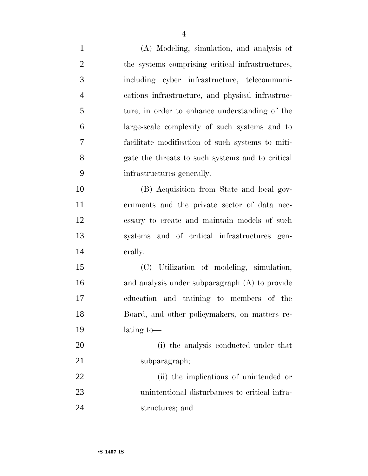| $\mathbf{1}$   | (A) Modeling, simulation, and analysis of        |
|----------------|--------------------------------------------------|
| $\overline{2}$ | the systems comprising critical infrastructures, |
| 3              | including cyber infrastructure, telecommuni-     |
| $\overline{4}$ | cations infrastructure, and physical infrastruc- |
| 5              | ture, in order to enhance understanding of the   |
| 6              | large-scale complexity of such systems and to    |
| 7              | facilitate modification of such systems to miti- |
| 8              | gate the threats to such systems and to critical |
| 9              | infrastructures generally.                       |
| 10             | (B) Acquisition from State and local gov-        |
| 11             | ernments and the private sector of data nec-     |
| 12             | essary to create and maintain models of such     |
| 13             | systems and of critical infrastructures gen-     |
| 14             | erally.                                          |
| 15             | (C) Utilization of modeling, simulation,         |
| 16             | and analysis under subparagraph (A) to provide   |
| 17             | education and training to members of the         |
| 18             | Board, and other policymakers, on matters re-    |
| 19             | lating to-                                       |
| 20             | (i) the analysis conducted under that            |
| 21             | subparagraph;                                    |
| 22             | (ii) the implications of unintended or           |
| 23             | unintentional disturbances to critical infra-    |
| 24             | structures; and                                  |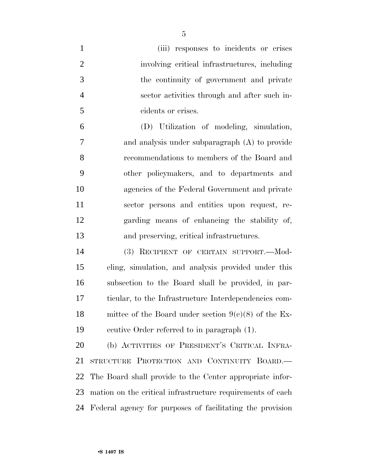| $\mathbf{1}$   | (iii) responses to incidents or crises                     |
|----------------|------------------------------------------------------------|
| $\overline{2}$ | involving critical infrastructures, including              |
| 3              | the continuity of government and private                   |
| $\overline{4}$ | sector activities through and after such in-               |
| 5              | cidents or crises.                                         |
| 6              | (D) Utilization of modeling, simulation,                   |
| 7              | and analysis under subparagraph $(A)$ to provide           |
| 8              | recommendations to members of the Board and                |
| 9              | other policymakers, and to departments and                 |
| 10             | agencies of the Federal Government and private             |
| 11             | sector persons and entities upon request, re-              |
| 12             | garding means of enhancing the stability of,               |
| 13             | and preserving, critical infrastructures.                  |
| 14             | (3) RECIPIENT OF CERTAIN SUPPORT. Mod-                     |
| 15             | eling, simulation, and analysis provided under this        |
| 16             | subsection to the Board shall be provided, in par-         |
| 17             | ticular, to the Infrastructure Interdependencies com-      |
| 18             | mittee of the Board under section $9(c)(8)$ of the Ex-     |
| 19             | ecutive Order referred to in paragraph (1).                |
| 20             | (b) ACTIVITIES OF PRESIDENT'S CRITICAL INFRA-              |
| 21             | STRUCTURE PROTECTION AND CONTINUITY BOARD.                 |
| 22             | The Board shall provide to the Center appropriate infor-   |
|                |                                                            |
| 23             | mation on the critical infrastructure requirements of each |